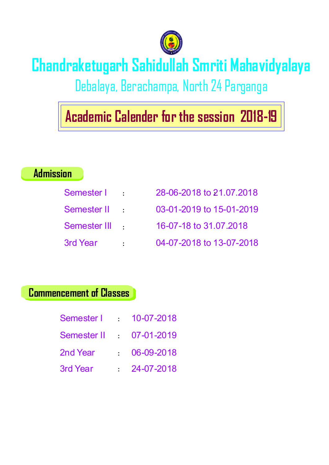

# **Admission**

| Chandraketugarh Sahidullah Smriti Mahavidyalaya<br>Debalaya, Berachampa, North 24 Parganga<br><u> 1989 - Johann Stein, mars et al. 1989 - Anna ann an t-Anna ann an t-Anna ann an t-Anna ann an t-Anna ann an t-</u><br>$\parallel$ Academic Calender for the session 2018-19 $\parallel$ |  |  |  |
|-------------------------------------------------------------------------------------------------------------------------------------------------------------------------------------------------------------------------------------------------------------------------------------------|--|--|--|
| Admission<br>28-06-2018 to 21.07.2018<br>Semester I :<br>03-01-2019 to 15-01-2019<br>Semester II :<br>16-07-18 to 31.07.2018<br>Semester III :                                                                                                                                            |  |  |  |
| 04-07-2018 to 13-07-2018<br>3rd Year :<br><b>Commencement of Classes</b> R<br>Semester   10-07-2018<br>Semester II 07-01-2019                                                                                                                                                             |  |  |  |
| $106 - 09 - 2018$<br>2nd Year<br>$\frac{24-07-2018}{ }$<br>3rd Year                                                                                                                                                                                                                       |  |  |  |

| Semester I  | $\mathbf{r} = \mathbf{r}$ | 10-07-2018         |
|-------------|---------------------------|--------------------|
| Semester II |                           | $1.07 - 01 - 2019$ |
| 2nd Year    | $\mathbf{r} = \mathbf{r}$ | 06-09-2018         |
| 3rd Year    |                           | 24-07-2018         |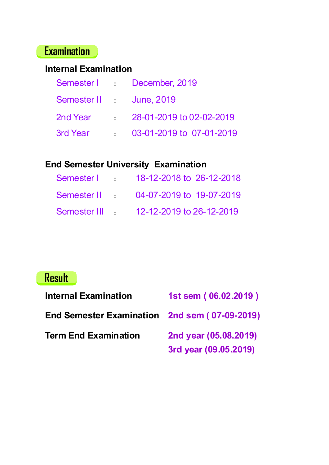### **Examination**

| Examination                                                                |  |  |
|----------------------------------------------------------------------------|--|--|
| <b>Internal Examination</b><br>December, 2019<br>Semester I<br>$\sim 10^7$ |  |  |
| Semester II :<br><b>June, 2019</b>                                         |  |  |
| 28-01-2019 to 02-02-2019<br>2nd Year<br>$\mathcal{L}^{\text{max}}$         |  |  |
| 3rd Year<br>$03-01-2019$ to $07-01-2019$                                   |  |  |
| <b>End Semester University Examination</b>                                 |  |  |
| 18-12-2018 to 26-12-2018<br>Semester I :                                   |  |  |
| Semester II :<br>04-07-2019 to 19-07-2019                                  |  |  |
| Semester III :<br>12-12-2019 to 26-12-2019                                 |  |  |
|                                                                            |  |  |
|                                                                            |  |  |
| <mark>Result</mark>                                                        |  |  |
| <b>Internal Examination</b><br>1st sem (06.02.2019)                        |  |  |
| End Semester Examination 2nd sem (07-09-2019)                              |  |  |

|                | Semester I : 18-12-2018 to 26-12-2018 |
|----------------|---------------------------------------|
|                | Semester II 04-07-2019 to 19-07-2019  |
| Semester III : | 12-12-2019 to 26-12-2019              |

# **Result**

| Examination<br><b>Internal Examination</b>                                                                                                                              |  |  |
|-------------------------------------------------------------------------------------------------------------------------------------------------------------------------|--|--|
| Semester I December, 2019<br>Semester II June, 2019<br>$\frac{28-01-2019 \text{ to } 02-02-2019}{20}$<br>2nd Year<br>$\frac{1}{2}$ 03-01-2019 to 07-01-2019<br>3rd Year |  |  |
| <b>End Semester University Examination</b><br>Semester   18-12-2018 to 26-12-2018<br>Semester II 04-07-2019 to 19-07-2019<br>Semester III 12-12-2019 to 26-12-2019      |  |  |
| Result                                                                                                                                                                  |  |  |
| <b>Internal Examination</b><br>1st sem (06.02.2019)                                                                                                                     |  |  |
| End Semester Examination 2nd sem (07-09-2019)<br><b>Term End Examination</b><br>2nd year (05.08.2019)<br>3rd year (09.05.2019)                                          |  |  |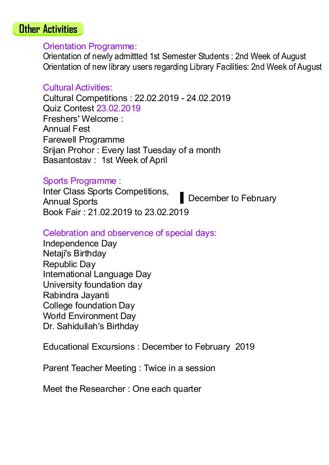**Orientation Programme:**<br>
Contentation Programme:<br>
Orientation of newly admitted 1st Semester Students : 2nd Week of August<br>
Orientation of new library users regarding Library Facilities. 2nd Week of August<br>
Cultural Activ **Activities**<br>
Orientation Orien/Wig admitted 1st Semester Students : 2nd Week of August<br>
Orientation of new litrary users regarding Library Facilities: 2nd Week of August<br>
Cultural Activities:<br>
Cultural Competitions : 22.0 **Activities**<br>Orientation of newly admitted 1st Semester Students : 2nd Week of August<br>Orientation of new library users regarding Library Facilities: 2nd Week of August<br>Cultural Activities:<br>Cultural Competitions : 22.02.201 **Activities**<br>Orientation of new ly admitted 1st Semester Students : 2nd Week of August<br>Orientation of new library users regarding Library Facilities: 2nd Week of August<br>Cultural Activities:<br>Cultural Competitions : 22.02.20 **Activities**<br>
Orientation *C*heory admitted 1st Semester Students : 2nd Week of August<br>
Orientation of new library users regarding Library Facilities: 2nd Week of August<br>
Cultural Activities:<br>
Cultural Competitions : 22.02 **Activities**<br>Orientation Programme:<br>Orientation of new jubarity users regarding Library Facilities: 2nd Week of August<br>Cultural Activities:<br>Cultural Competitions : 22.02.2019 - 24.02.2019<br>Cultural Competitions : 22.02.2019 **Activities**<br>
Orientation Programme:<br>
Orientation of new library users regarding Library Facilities: 2nd Week of August<br>
Cultural Activities:<br>
Cultural Connettitions: 22.02.2019 - 24.02.2019<br>
Firsthers' Welcome :<br>
Cultural **Activities**<br>
Orientation Programme:<br>
Orientation of newly admitted 1st Semester Students : 2nd Week of August<br>
Orientation of new library users regarding Library Facilities: 2nd Week of August<br>
Cultural Activities:<br>
Cultu **Activities**<br> **Orientation Programme:**<br>
Orientation of newly admittled 1st Semester Students : 2nd Week of August<br>
Orientation of newl ilbrary users regarding Library Facilities: 2nd Week of August<br>
Cultural Activities:<br>
C **Activities**<br>
Orientation Programme:<br>
Orientation of newly admitted 1st Semester Students : 2nd Week of August<br>
Orientation of new library users regarding Library Facilities: 2nd Week of August<br>
Cultural Activities:<br>
Cultu **Antivities**<br>
Orientation Programme:<br>
Orientation of newly admitted 1st Semester Students: 2nd Week of August<br>
Orientation of new library users regarding Library Facilities: 2nd Week of August<br>
Cultural Activities:<br>
Cultur **Antivities**<br>
Orientation Programme:<br>
Orientation of newly admittled 1st Semester Students: 2nd Week of August<br>
Orientation of newlibrary users regarding Library Facilities: 2nd Week of August<br>
Cultural Activities:<br>
Cultur **Activities**<br>
Orientation Programme:<br>
Orientation of newly admitted 1st Semester Students : 2nd Week of August<br>
Orientation of new library users regarding Library Facilities: 2nd Week of August<br>
Cultural Activities:<br>
Cultu **Activities**<br>
Orientation of newly admitted 1st Semester Students : 2nd Week of August<br>
Orientation of newly admitted 1st Semester Students : 2nd Week of August<br>
Cultural Activities:<br>
Cultural Competitions : 22.02.2019 - 2 **Activities**<br>
Orientation of new) admitted 1st Semester Students : 2nd Week of August<br>
Orientation of new library users regarding Library Facilities: 2nd Week of August<br>
Cultural Activities:<br>
Cultural Competitions : 22.02. **Activities**<br>
Orientation of new jardimeted 1st Semester Students : 2nd Week of August<br>
Orientation of new jardimeted 1st Semester Students : 2nd Week of August<br>
Cultural Activities:<br>
Cultural Competitions : 22.02.2019 - 2 **Activities**<br>
Orientation Programme:<br>
Orientation of newly admitted 1st Semester Students : 2nd Week of August<br>
Orientation of newlibrary users regarding Library Facilities:<br>
Cultural Activities:<br>
Cultural Competitions : 2 **Activities**<br>
Orientation of newly admitted 1st Semester Students : 2nd Week of August<br>
Orientation of newlibrary users regarding Library Facilities: 2nd Week of August<br>
Cultural Activities:<br>
Cultural Competitions : 22.02. **Activities**<br>
Orientation of newly admitted 1st Semester Students : 2nd Week of August<br>
Orientation of newly admitted 1st Semester Students : 2nd Week of August<br>
Cultural Activities :<br>
Cultural Competitions : 22.02.2019 - **Activities**<br>
Orientation Orienviy admitted 1st Semester Students : 2nd Week of August<br>
Orientation of new library users regarding Library Facilities. 2nd Week of August<br>
Cultural Activities:<br>
Cultural Competitions : 22.02 **Activities**<br>
Orientation of new jarditred 1st Semester Students : 2nd Week of August<br>
Orientation of new jarding users regarding Library Facilities. 2nd Week of August<br>
Cultural Activities:<br>
Cultural Competitions : 22.02. **Activities**<br>
Orientation of new ly admitted 1st Semester Students : 2nd Week of August<br>
Orientation of new litrary users regarding Library Facilities: 2nd Week of August<br>
Cultural Activities:<br>
Cultural Competitions : 22.0 **Activities**<br>
Orientation of new ly admitted 1st Semester Students : 2nd Week of August<br>
Orientation of new library users regarding Library Eacilities. 2nd Week of August<br>
Cultural Activities:<br>
Cultural Competitions : 22.0 **Activities**<br>
Orientation of new judentitied 1st Semester Students : 2nd Week of August<br>
Orientation of new judentitied 1st Semester Students : 2nd Week of August<br>
Cultural Activities:<br>
Cultural Competitions : 22.02.2019 -**Antivities**<br>
Orientation Programme:<br>
Orientation of new) womittited 1st Semester Students: 2nd Week of August<br>
Orientation of new literary users regarding Library Facilities: 2nd Week of August<br>
Cultural Activities:<br>
Cult **Activities**<br>Orientation Programme:<br>Orientation of newly admitted 1st Semester Students : 2nd Week of August<br>Orientation of newly admitted 1st Semester By Facilities: 2nd Week of August<br>Cultural Competitions : 22.02.2019<br>Q Colutural Activities:<br>
Cultural Activities:<br>
Cultural Competitions : 22.02.2019 - 24.02.2019<br>
Quiz Contest 23.02.2019<br>
Freshers' Welcome :<br>
Freshers' Welcome :<br>
Freshers' Welcome :<br>
Sirgin Protor : Every last Tuesday of a Cultural Competitions : 22.02.2019 - 24.02.2019<br>Cultz Contest 23.02.2019<br>Freshers Welcome :<br>Freshers Welcome :<br>Annual Fest<br>Parewell Programme<br>Srijan Prohor : Every last Tuesday of a month<br>Basantostav : 1st Week of April<br>19 Freshers' Welcome :<br>
Arnual Fest<br>
Arnual Fest<br>
Arnual Fest<br>
Francwell Programme<br>
Srijan Prohor : Every last Tuesday of a month<br>
Basantostav : 1st Week of April<br>
Aprils Programme :<br>
Annual Sports<br>
Leher Class Sports Competi er Students : 2nd Week of August<br>Library Facilities: 2nd Week of August<br>24.02.2019<br>a month<br>December to February<br>al days:<br>o February 2019